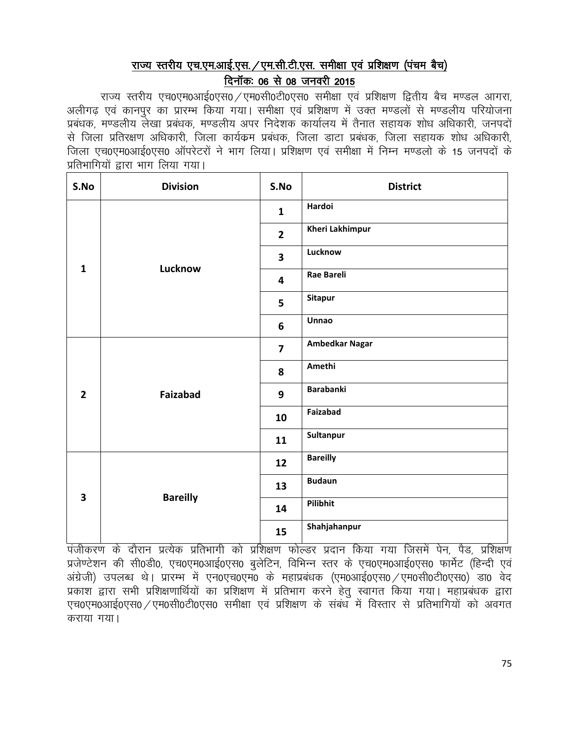# राज्य स्तरीय एच.एम.आई.एस. /एम.सी.टी.एस. समीक्षा एवं प्रशिक्षण (पंचम बैच) दिनॉक: 06 से 08 जनवरी 2015

राज्य स्तरीय एच0एम0आई0एस0 / एम0सी0टी0एस0 समीक्षा एवं प्रशिक्षण द्वितीय बैच मण्डल आगरा. अलीगढ एवं कानपुर का प्रारम्भ किया गया। समीक्षा एवं प्रशिक्षण में उक्त मण्डलों से मण्डलीय परियोजना प्रबंधक, मण्डलीय लेखा प्रबंधक, मण्डलीय अपर निदेशक कार्यालय में तैनात सहायक शोध अधिकारी, जनपदों से जिला प्रतिरक्षण अधिकारी, जिला कार्यक्रम प्रबंधक, जिला डाटा प्रबंधक, जिला सहायक शोध अधिकारी, जिला एच0एम0आई0एस0 ऑपरेटरों ने भाग लिया। प्रशिक्षण एवं समीक्षा में निम्न मण्डलो के 15 जनपदों के प्रतिभागियों द्वारा भाग लिया गया।

| S.No                    | <b>Division</b> | S.No                    | <b>District</b>       |
|-------------------------|-----------------|-------------------------|-----------------------|
|                         |                 | $\mathbf{1}$            | Hardoi                |
|                         |                 | $\overline{2}$          | Kheri Lakhimpur       |
|                         |                 | $\overline{\mathbf{3}}$ | Lucknow               |
| $\mathbf{1}$            | Lucknow         | 4                       | <b>Rae Bareli</b>     |
|                         |                 | 5                       | <b>Sitapur</b>        |
|                         |                 | 6                       | Unnao                 |
|                         | Faizabad        | $\overline{7}$          | <b>Ambedkar Nagar</b> |
|                         |                 | 8                       | Amethi                |
| $\overline{2}$          |                 | 9                       | <b>Barabanki</b>      |
|                         |                 | 10                      | Faizabad              |
|                         |                 | 11                      | Sultanpur             |
|                         |                 | 12                      | <b>Bareilly</b>       |
| $\overline{\mathbf{3}}$ | <b>Bareilly</b> | 13                      | <b>Budaun</b>         |
|                         |                 | 14                      | Pilibhit              |
|                         |                 | 15                      | Shahjahanpur          |

.<br>पंजीकरण के दौरान प्रत्येक प्रतिभागी को प्रशिक्षण फोल्डर प्रदान किया गया जिसमें पेन, पैड, प्रशिक्षण प्रजेण्टेशन की सी0डी0, एच0एम0आई0एस0 बुलेटिन, विभिन्न स्तर के एच0एम0आई0एस0 फार्मेट (हिन्दी एवं अंग्रेजी) उपलब्ध थे। प्रारम्भ में एन0एच0एम0 के महाप्रबंधक (एम0आई0एस0 /एम0सी0टी0एस0) डा0 वेद प्रकाश द्वारा सभी प्रशिक्षणार्थियों का प्रशिक्षण में प्रतिभाग करने हेतू स्वागत किया गया। महाप्रबंधक द्वारा एच0एम0आई0एस0 / एम0सी0टी0एस0 समीक्षा एवं प्रशिक्षण के संबंध में विस्तार से प्रतिभागियों को अवगत कराया गया।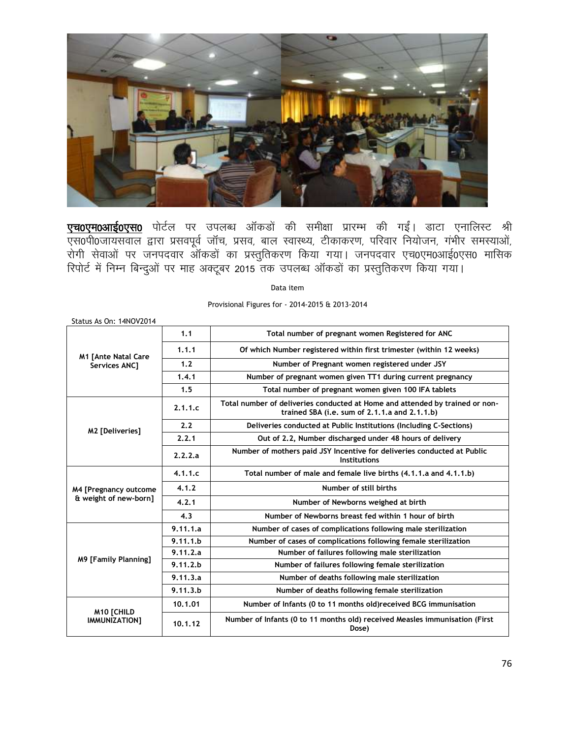

<mark>एच0एम0आई0एस0</mark> पोर्टल पर उपलब्ध ऑकडों की समीक्षा प्रारम्भ की गईं। डाटा एनालिस्ट श्री एस0पी0जायसवाल द्वारा प्रसवपूर्व जॉच, प्रसव, बाल स्वास्थ्य, टीकाकरण, परिवार नियोजन, गंभीर समस्याओं, रोगी सेवाओं पर जनपदवार ऑकडों का प्रस्तुतिकरण किया गया। जनपदवार एच0एम0आई0एस0 मासिक रिपोर्ट में निम्न बिन्दुओं पर माह अक्टूबर 2015 तक उपलब्ध ऑकडों का प्रस्तुतिकरण किया गया।

Data item

Provisional Figures for - 2014-2015 & 2013-2014

| Status As On: 14NOV2014     |          |                                                                                                                               |
|-----------------------------|----------|-------------------------------------------------------------------------------------------------------------------------------|
|                             | 1.1      | Total number of pregnant women Registered for ANC                                                                             |
| <b>M1 [Ante Natal Care</b>  | 1.1.1    | Of which Number registered within first trimester (within 12 weeks)                                                           |
| <b>Services ANC1</b>        | 1.2      | Number of Pregnant women registered under JSY                                                                                 |
|                             | 1.4.1    | Number of pregnant women given TT1 during current pregnancy                                                                   |
|                             | 1.5      | Total number of pregnant women given 100 IFA tablets                                                                          |
|                             | 2.1.1.c  | Total number of deliveries conducted at Home and attended by trained or non-<br>trained SBA (i.e. sum of 2.1.1.a and 2.1.1.b) |
| M2 [Deliveries]             | 2.2      | Deliveries conducted at Public Institutions (Including C-Sections)                                                            |
|                             | 2.2.1    | Out of 2.2, Number discharged under 48 hours of delivery                                                                      |
|                             | 2.2.2.a  | Number of mothers paid JSY Incentive for deliveries conducted at Public<br>Institutions                                       |
|                             | 4.1.1.c  | Total number of male and female live births (4.1.1.a and 4.1.1.b)                                                             |
| M4 [Pregnancy outcome       | 4.1.2    | Number of still births                                                                                                        |
| & weight of new-born]       | 4.2.1    | Number of Newborns weighed at birth                                                                                           |
|                             | 4.3      | Number of Newborns breast fed within 1 hour of birth                                                                          |
|                             | 9.11.1.a | Number of cases of complications following male sterilization                                                                 |
|                             | 9.11.1.b | Number of cases of complications following female sterilization                                                               |
|                             | 9.11.2.a | Number of failures following male sterilization                                                                               |
| <b>M9 [Family Planning]</b> | 9.11.2 b | Number of failures following female sterilization                                                                             |
|                             | 9.11.3.a | Number of deaths following male sterilization                                                                                 |
|                             | 9.11.3.b | Number of deaths following female sterilization                                                                               |
| <b>M10 [CHILD</b>           | 10.1.01  | Number of Infants (0 to 11 months old) received BCG immunisation                                                              |
| IMMUNIZATION]               | 10.1.12  | Number of Infants (0 to 11 months old) received Measles immunisation (First<br>Dose)                                          |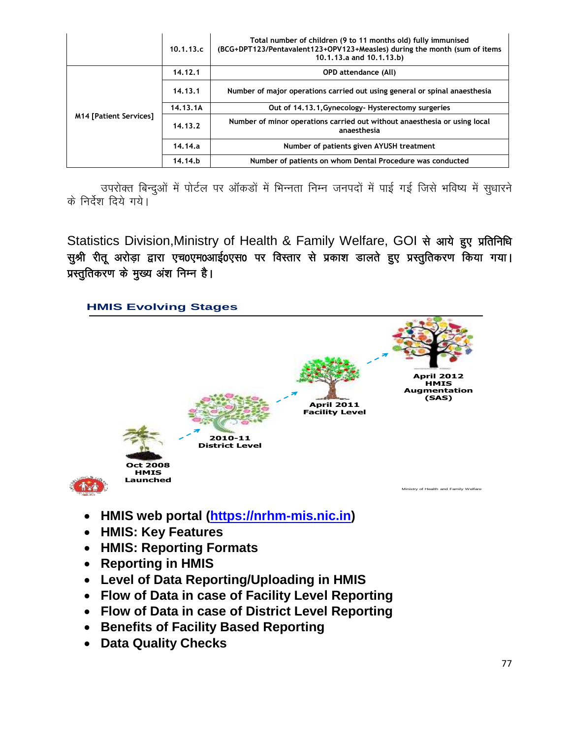|                               | 10.1.13.c | Total number of children (9 to 11 months old) fully immunised<br>(BCG+DPT123/Pentavalent123+OPV123+Measles) during the month (sum of items<br>10.1.13.a and 10.1.13.b) |
|-------------------------------|-----------|------------------------------------------------------------------------------------------------------------------------------------------------------------------------|
|                               | 14.12.1   | <b>OPD attendance (All)</b>                                                                                                                                            |
|                               | 14.13.1   | Number of major operations carried out using general or spinal anaesthesia                                                                                             |
|                               | 14.13.1A  | Out of 14,13,1, Gynecology - Hysterectomy surgeries                                                                                                                    |
| <b>M14 [Patient Services]</b> | 14.13.2   | Number of minor operations carried out without anaesthesia or using local<br>anaesthesia                                                                               |
|                               | 14.14.a   | Number of patients given AYUSH treatment                                                                                                                               |
|                               | 14.14.b   | Number of patients on whom Dental Procedure was conducted                                                                                                              |

उपरोक्त बिन्दुओं में पोर्टल पर ऑकड़ों में भिन्नता निम्न जनपदों में पाई गई जिसे भविष्य में सुधारने के निर्देश दिये गये।

Statistics Division, Ministry of Health & Family Welfare, GOI से आये हुए प्रतिनिधि सुश्री रीतू अरोड़ा द्वारा एच0एम0आई0एस0 पर विस्तार से प्रकाश डालते हुए प्रस्तुतिकरण किया गया। प्रस्तुतिकरण के मुख्य अंश निम्न है।



- 
- **HMIS: Key Features**
- **HMIS: Reporting Formats**
- **Reporting in HMIS**
- **Level of Data Reporting/Uploading in HMIS**
- **Flow of Data in case of Facility Level Reporting**
- **Flow of Data in case of District Level Reporting**
- **Benefits of Facility Based Reporting**
- **Data Quality Checks**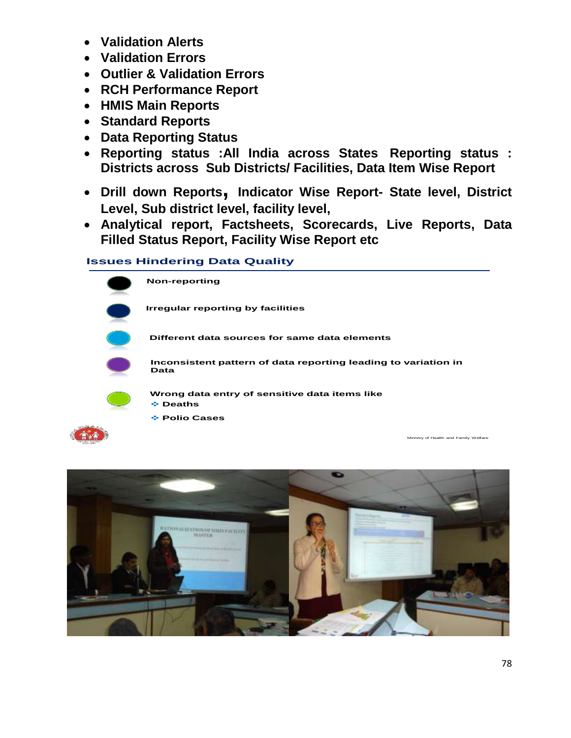- **Validation Alerts**
- **Validation Errors**
- **Outlier & Validation Errors**
- **RCH Performance Report**
- **HMIS Main Reports**
- **Standard Reports**
- **Data Reporting Status**
- **Reporting status :All India across States Reporting status : Districts across Sub Districts/ Facilities, Data Item Wise Report**
- **Drill down Reports, Indicator Wise Report- State level, District Level, Sub district level, facility level,**
- **Analytical report, Factsheets, Scorecards, Live Reports, Data Filled Status Report, Facility Wise Report etc**

#### **Issues Hindering Data Quality**



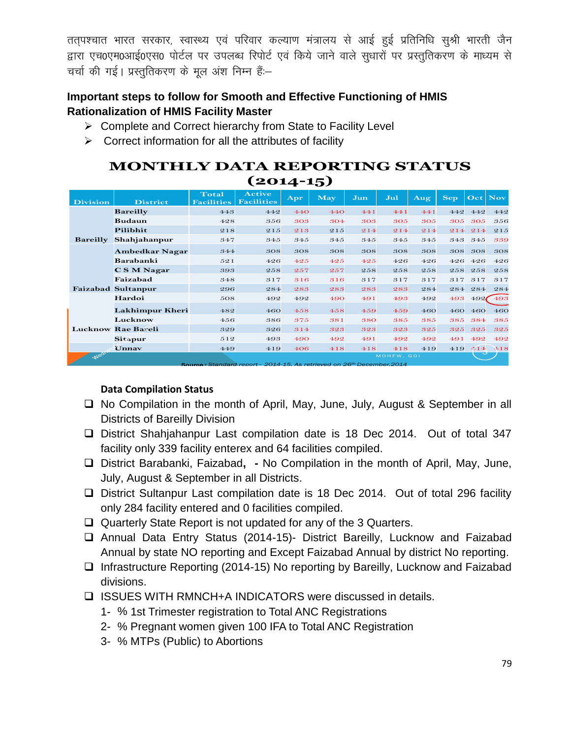तत्पश्चात भारत सरकार, स्वास्थ्य एवं परिवार कल्याण मंत्रालय से आई हुई प्रतिनिधि सुश्री भारती जैन द्वारा एच0एम0आई0एस0 पोर्टल पर उपलब्ध रिपोर्ट एवं किये जाने वाले सुधारों पर प्रस्तुतिकरण के माध्यम से चर्चा की गई। प्रस्तुतिकरण के मूल अंश निम्न हैं:-

#### **Important steps to follow for Smooth and Effective Functioning of HMIS Rationalization of HMIS Facility Master**

- ▶ Complete and Correct hierarchy from State to Facility Level
- $\triangleright$  Correct information for all the attributes of facility

### **MONTHLY DATA REPORTING STATUS (2014-15)**

| <b>Division</b> | <b>District</b>           | <b>Total</b><br><b>Facilities</b>                                                        | <b>Active</b><br><b>Facilities</b> | <b>Apr</b> | <b>May</b> | Jun | Jul        | Aug | <b>Sep</b> | $ $ Oct | <b>Nov</b> |
|-----------------|---------------------------|------------------------------------------------------------------------------------------|------------------------------------|------------|------------|-----|------------|-----|------------|---------|------------|
|                 | <b>Bareilly</b>           | 443                                                                                      | 442                                | 440        | 440        | 441 | 441        | 441 | 442        | 442     | 442        |
|                 | <b>Budaun</b>             | 428                                                                                      | 356                                | 303        | 304        | 303 | 305        | 305 | 305        | 305     | 356        |
|                 | Pilibhit                  | 218                                                                                      | 215                                | 213        | 215        | 214 | 214        | 214 | 214        | 214     | 215        |
| <b>Bareilly</b> | Shahjahanpur              | 347                                                                                      | 345                                | 345        | 345        | 345 | 345        | 345 | 343        | 345     | 339        |
|                 | Ambedkar Nagar            | 344                                                                                      | 308                                | 308        | 308        | 308 | 308        | 308 | 308        | 308     | 308        |
|                 | Barabanki                 | 521                                                                                      | 426                                | 42.5       | 42.5       | 425 | 426        | 426 | 426        | 426     | 426        |
|                 | C S M Nagar               | 393                                                                                      | 258                                | 257        | 257        | 258 | 258        | 258 | 258        | 258     | 258        |
|                 | Faizabad                  | 348                                                                                      | 317                                | 316        | 316        | 317 | 317        | 317 | 317        | 317     | 317        |
|                 | <b>Faizabad Sultanpur</b> | 296                                                                                      | 284                                | 283        | 283        | 283 | 283        | 284 | 284        | 284     | 284        |
|                 | Hardoi                    | 508                                                                                      | 492                                | 492        | 490        | 491 | 493        | 492 | 493        | 492     | 493        |
|                 | Lakhimpur Kheri           | 482                                                                                      | 460                                | 458        | 458        | 459 | 459        | 460 | 460        | 460     | 460        |
|                 | Lucknow                   | 456                                                                                      | 386                                | 375        | 381        | 380 | 385        | 385 | 385        | 384     | 385        |
|                 | <b>Lucknow Rae Bareli</b> | 329                                                                                      | 326                                | 314        | 323        | 323 | 323        | 325 | 325        | 325     | 325        |
|                 | <b>Sitapur</b>            | 512                                                                                      | 493                                | 490        | 492        | 491 | 492        | 492 | 491        | 492     | 492        |
|                 | Unnav                     | 449                                                                                      | 419                                | 406        | 418        | 418 | 418        | 419 | 419        | $-414$  | $-4.18$    |
| Week            |                           |                                                                                          |                                    |            |            |     | MOHFW, GOI |     |            |         |            |
|                 |                           | <b>Source:</b> Standard report - 2014-15, As retrieved on 26 <sup>th</sup> December 2014 |                                    |            |            |     |            |     |            |         |            |

#### **Data Compilation Status**

- □ No Compilation in the month of April, May, June, July, August & September in all Districts of Bareilly Division
- □ District Shahjahanpur Last compilation date is 18 Dec 2014. Out of total 347 facility only 339 facility enterex and 64 facilities compiled.
- District Barabanki, Faizabad**, -** No Compilation in the month of April, May, June, July, August & September in all Districts.
- □ District Sultanpur Last compilation date is 18 Dec 2014. Out of total 296 facility only 284 facility entered and 0 facilities compiled.
- Quarterly State Report is not updated for any of the 3 Quarters.
- Annual Data Entry Status (2014-15)- District Bareilly, Lucknow and Faizabad Annual by state NO reporting and Except Faizabad Annual by district No reporting.
- $\Box$  Infrastructure Reporting (2014-15) No reporting by Bareilly, Lucknow and Faizabad divisions.
- □ ISSUES WITH RMNCH+A INDICATORS were discussed in details.
	- 1- % 1st Trimester registration to Total ANC Registrations
	- 2- % Pregnant women given 100 IFA to Total ANC Registration
	- 3- % MTPs (Public) to Abortions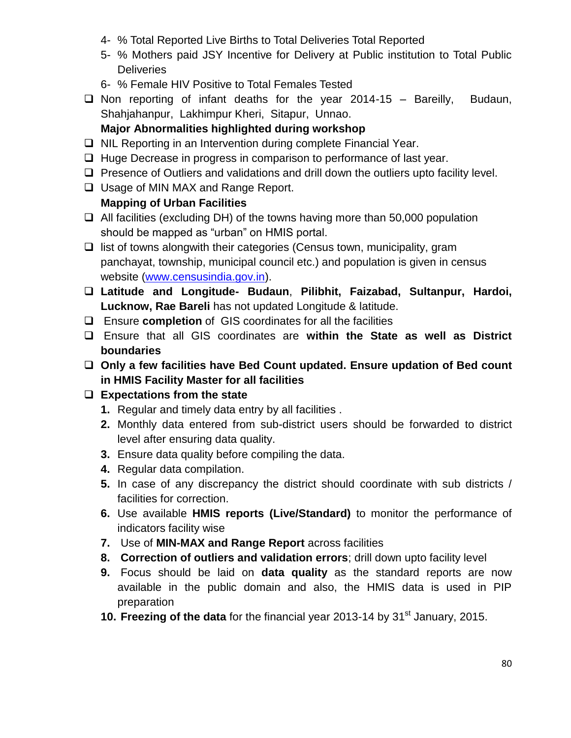- 4- % Total Reported Live Births to Total Deliveries Total Reported
- 5- % Mothers paid JSY Incentive for Delivery at Public institution to Total Public **Deliveries**
- 6- % Female HIV Positive to Total Females Tested
- $\Box$  Non reporting of infant deaths for the year 2014-15 Bareilly, Budaun, Shahjahanpur, Lakhimpur Kheri, Sitapur, Unnao.

### **Major Abnormalities highlighted during workshop**

- $\Box$  NIL Reporting in an Intervention during complete Financial Year.
- $\Box$  Huge Decrease in progress in comparison to performance of last year.
- $\Box$  Presence of Outliers and validations and drill down the outliers upto facility level.
- $\Box$  Usage of MIN MAX and Range Report.

### **Mapping of Urban Facilities**

- $\Box$  All facilities (excluding DH) of the towns having more than 50,000 population should be mapped as "urban" on HMIS portal.
- $\Box$  list of towns alongwith their categories (Census town, municipality, gram panchayat, township, municipal council etc.) and population is given in census website [\(www.censusindia.gov.in\)](http://www.censusindia.gov.in/).
- **Latitude and Longitude- Budaun**, **Pilibhit, Faizabad, Sultanpur, Hardoi, Lucknow, Rae Bareli** has not updated Longitude & latitude.
- Ensure **completion** of GIS coordinates for all the facilities
- Ensure that all GIS coordinates are **within the State as well as District boundaries**
- **Only a few facilities have Bed Count updated. Ensure updation of Bed count in HMIS Facility Master for all facilities**

### **Expectations from the state**

- **1.** Regular and timely data entry by all facilities .
- **2.** Monthly data entered from sub-district users should be forwarded to district level after ensuring data quality.
- **3.** Ensure data quality before compiling the data.
- **4.** Regular data compilation.
- **5.** In case of any discrepancy the district should coordinate with sub districts / facilities for correction.
- **6.** Use available **HMIS reports (Live/Standard)** to monitor the performance of indicators facility wise
- **7.** Use of **MIN-MAX and Range Report** across facilities
- **8. Correction of outliers and validation errors**; drill down upto facility level
- **9.** Focus should be laid on **data quality** as the standard reports are now available in the public domain and also, the HMIS data is used in PIP preparation
- **10. Freezing of the data** for the financial year 2013-14 by 31<sup>st</sup> January, 2015.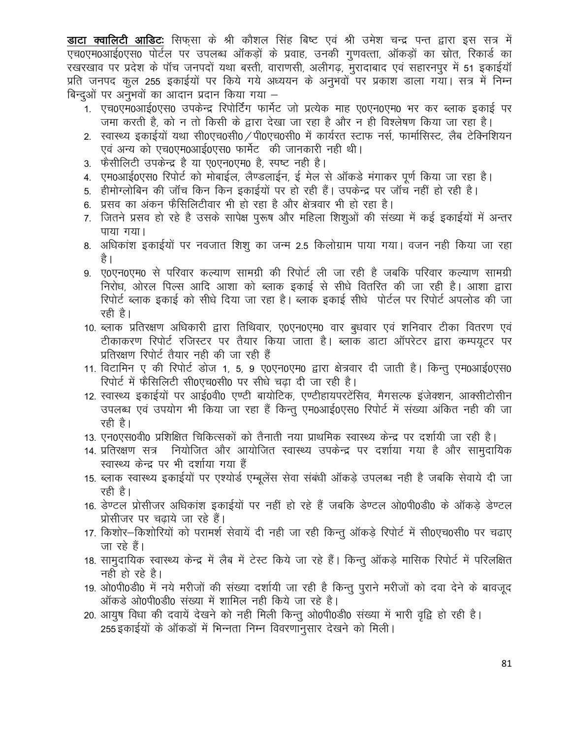**डाटा क्वालिटी आडिटः** सिफसा के श्री कौशल सिंह बिष्ट एवं श्री उमेश चन्द्र पन्त द्वारा इस सत्र में एच0एम0आई0एस0 पोर्टल पर उपलब्ध ऑकड़ों के प्रवाह, उनकी गुणवत्ता, ऑकड़ों का स्रोत, रिकार्ड का रखरखाव पर प्रदेश के पॉच जनपदों यथा बस्ती, वाराणसी, अलीगढ, मुरादाबाद एवं सहारनपुर में 51 इकाईयॉ प्रति जनपद कुल 255 इकाईयों पर किये गये अध्ययन के अनुभवों पर प्रकाश डाला गया। सत्र में निम्न बिन्दुओं पर अनुभवों का आदान प्रदान किया गया –

- 1. एच0एम0आई0एस0 उपकेन्द्र रिपोर्टिंग फार्मेट जो प्रत्येक माह ए0एन0एम0 भर कर ब्लाक इकाई पर जमा करती है, को न तो किसी के द्वारा देखा जा रहा है और न ही विश्लेषण किया जा रहा है।
- 2. स्वास्थ्य इकाईयों यथा सी0एच0सी0 / पी0एच0सी0 में कार्यरत स्टाफ नर्स, फार्मासिस्ट, लैब टेक्निशियन एवं अन्य को एच0एम0आई0एस0 फार्मेट) की जानकारी नही थी।
- 3. फैसीलिटी उपकेन्द्र है या ए0एन0एम0 है, स्पष्ट नही है।
- 4. एम0आई0एस0 रिपोर्ट को मोबाईल, लैण्डलाईन, ई मेल से ऑकडे मंगाकर पूर्ण किया जा रहा है।
- 5. हीमोग्लोबिन की जॉच किन किन इकाईयों पर हो रही हैं। उपकेन्द्र पर जॉच नहीं हो रही है।
- 6. प्रसव का अंकन फैसिलिटीवार भी हो रहा है और क्षेत्रवार भी हो रहा है।
- 7. जितने प्रसव हो रहे है उसके सापेक्ष पुरूष और महिला शिशुओं की संख्या में कई इकाईयों में अन्तर पाया गया।
- 8. अधिकांश इकाईयों पर नवजात शिशु का जन्म 2.5 किलोग्राम पाया गया। वजन नही किया जा रहा है ।
- 9. ए0एन0एम0 से परिवार कल्याण सामग्री की रिपोर्ट ली जा रही है जबकि परिवार कल्याण सामग्री निरोध, ओरल पिल्स आदि आशा को ब्लाक इकाई से सीधे वितरित की जा रही है। आशा द्वारा रिपोर्ट ब्लाक इकाई को सीधे दिया जा रहा है। ब्लाक इकाई सीधे पोर्टल पर रिपोर्ट अपलोड की जा रही है।
- 10. ब्लाक प्रतिरक्षण अधिकारी द्वारा तिथिवार, ए0एन0एम0 वार बुधवार एवं शनिवार टीका वितरण एवं टीकाकरण रिपोर्ट रजिस्टर पर तैयार किया जाता है। ब्लाक डाटा ऑपरेटर द्वारा कम्पयूटर पर प्रतिरक्षण रिपोर्ट तैयार नही की जा रही हैं
- 11. विटामिन ए की रिपोर्ट डोज 1, 5, 9 ए0एन0एम0 द्वारा क्षेत्रवार दी जाती है। किन्तु एम0आई0एस0 रिपोर्ट में फैसिलिटी सी0एच0सी0 पर सीधे चढा दी जा रही है।
- 12. स्वास्थ्य इकाईयों पर आई0वी0 एण्टी बायोटिक, एण्टीहायपरटेंसिव, मैगसल्फ इंजेक्शन, आक्सीटोसीन उपलब्ध एवं उपयोग भी किया जा रहा हैं किन्तू एम0आई0एस0 रिपोर्ट में संख्या अंकित नही की जा रही है।
- 13. एन0एस0वी0 प्रशिक्षित चिकित्सकों को तैनाती नया प्राथमिक स्वास्थ्य केन्द्र पर दर्शायी जा रही है।
- 14. प्रतिरक्षण सत्र नियोजित और आयोजित स्वास्थ्य उपकेन्द्र पर दर्शाया गया है और सामुदायिक स्वास्थ्य केन्द्र पर भी दर्शाया गया हैं
- 15. ब्लाक स्वास्थ्य इकाईयों पर एश्योर्ड एम्बूलेंस सेवा संबंधी ऑकड़े उपलब्ध नही है जबकि सेवाये दी जा रही है।
- 16. डेण्टल प्रोसीजर अधिकांश इकाईयों पर नहीं हो रहे हैं जबकि डेण्टल ओ0पी0डी0 के ऑकड़े डेण्टल प्रोसीजर पर चढाये जा रहे हैं।
- 17. किशोर—किशोरियों को परामर्श सेवायें दी नही जा रही किन्तु ऑकड़े रिपोर्ट में सी0एच0सी0 पर चढाए जा रहे हैं।
- 18. सामुदायिक स्वास्थ्य केन्द्र में लैब में टेस्ट किये जा रहे हैं। किन्तु ऑकडे मासिक रिपोर्ट में परिलक्षित नही हो रहे है।
- 19. ओ0पी0डी0 में नये मरीजों की संख्या दर्शायी जा रही है किन्तु पुराने मरीजों को दवा देने के बावजुद ऑकड़े ओ0पी0डी0 संख्या में शामिल नही किये जा रहे है।
- 20. आयुष विधा की दवायें देखने को नही मिली किन्तू ओ0पी0डी0 संख्या में भारी वृद्वि हो रही है। 255 इकाईयों के ऑकड़ों में भिन्नता निम्न विवरणानुसार देखने को मिली।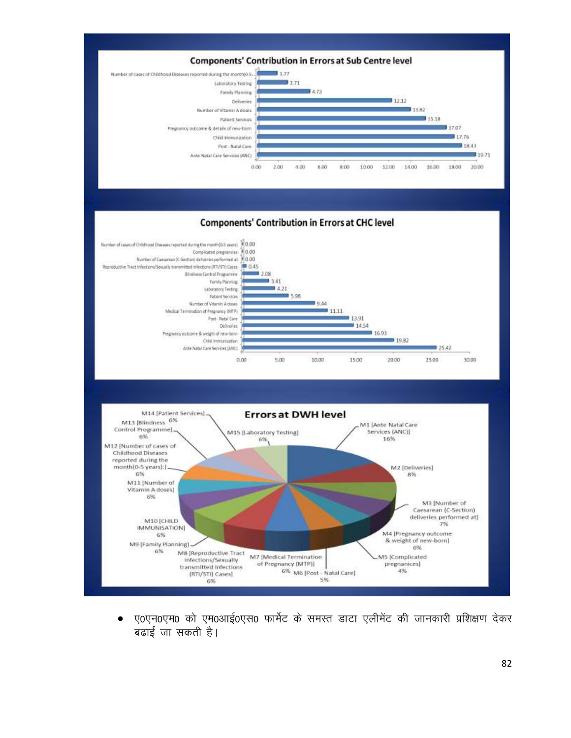

ए0एन0एम0 को एम0आई0एस0 फार्मेट के समस्त डाटा एलीमेंट की जानकारी प्रशिक्षण देकर  $\bullet$ बढाई जा सकती है।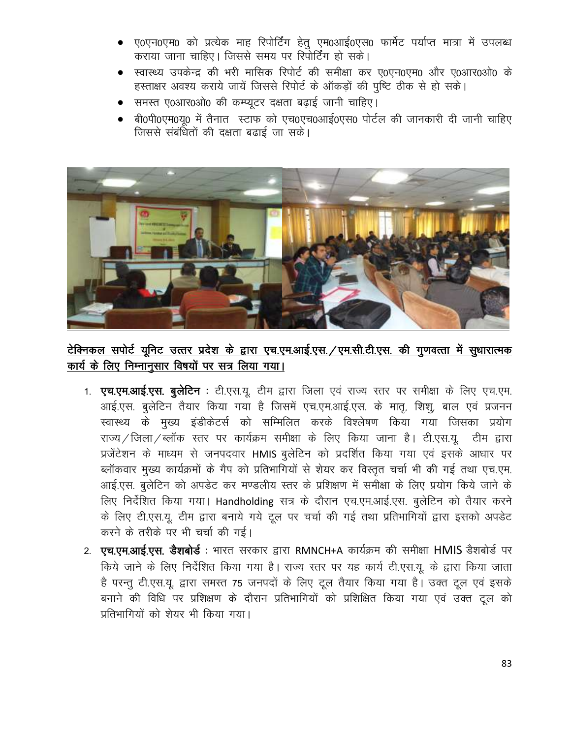- ए0एन0एम0 को प्रत्येक माह रिपोर्टिंग हेतु एम0आई0एस0 फार्मेट पर्याप्त मात्रा में उपलब्ध कराया जाना चाहिए। जिससे समय पर रिपोर्टिंग हो सके।
- स्वास्थ्य उपकेन्द्र की भरी मासिक रिपोर्ट की समीक्षा कर ए0एन0एम0 और ए0आर0ओ0 के हस्ताक्षर अवश्य कराये जायें जिससे रिपोर्ट के ऑकड़ों की पुष्टि ठीक से हो सके।
- समस्त ए0आर0ओ0 की कम्प्यूटर दक्षता बढ़ाई जानी चाहिए।
- बी0पी0एम0य0 में तैनात स्टाफ को एच0एच0आई0एस0 पोर्टल की जानकारी दी जानी चाहिए जिससे संबंधितों की दक्षता बढाई जा सके।



## टेक्निकल सपोर्ट यूनिट उत्तर प्रदेश के द्वारा एच.एम.आई.एस. /एम.सी.टी.एस. की गुणवत्ता में सुधारात्मक कार्य के लिए निम्नानुसार विषयों पर सत्र लिया गया।

- 1. एच.एम.आई.एस. बुलेटिन : टी.एस.यू. टीम द्वारा जिला एवं राज्य स्तर पर समीक्षा के लिए एच.एम. आई.एस. बुलेटिन तैयार किया गया है जिसमें एच.एम.आई.एस. के मातू, शिशू, बाल एवं प्रजनन स्वास्थ्य के मुख्य इंडीकेटर्स को सम्मिलित करके विश्लेषण किया गया जिसका प्रयोग राज्य / जिला / ब्लॉक स्तर पर कार्यक्रम समीक्षा के लिए किया जाना है। टी.एस.यु. टीम द्वारा प्रजेंटेशन के माध्यम से जनपदवार HMIS बुलेटिन को प्रदर्शित किया गया एवं इसके आधार पर ब्लॉकवार मुख्य कार्यक्रमों के गैप को प्रतिभागियों से शेयर कर विस्तृत चर्चा भी की गई तथा एच.एम. आई.एस. बुलेटिन को अपडेट कर मण्डलीय स्तर के प्रशिक्षण में समीक्षा के लिए प्रयोग किये जाने के लिए निर्देशित किया गया। Handholding सत्र के दौरान एच.एम.आई.एस. बुलेटिन को तैयार करने के लिए टी.एस.यू. टीम द्वारा बनाये गये टूल पर चर्चा की गई तथा प्रतिभागियों द्वारा इसको अपडेट करने के तरीके पर भी चर्चा की गई।
- 2. एच.एम.आई.एस. डैशबोर्ड : भारत सरकार द्वारा RMNCH+A कार्यक्रम की समीक्षा HMIS डैशबोर्ड पर किये जाने के लिए निर्देशित किया गया है। राज्य स्तर पर यह कार्य टी.एस.यू. के द्वारा किया जाता है परन्तू टी.एस.यू. द्वारा समस्त 75 जनपदों के लिए टूल तैयार किया गया है। उक्त टूल एवं इसके बनाने की विधि पर प्रशिक्षण के दौरान प्रतिभागियों को प्रशिक्षित किया गया एवं उक्त टूल को पतिभागियों को शेयर भी किया गया।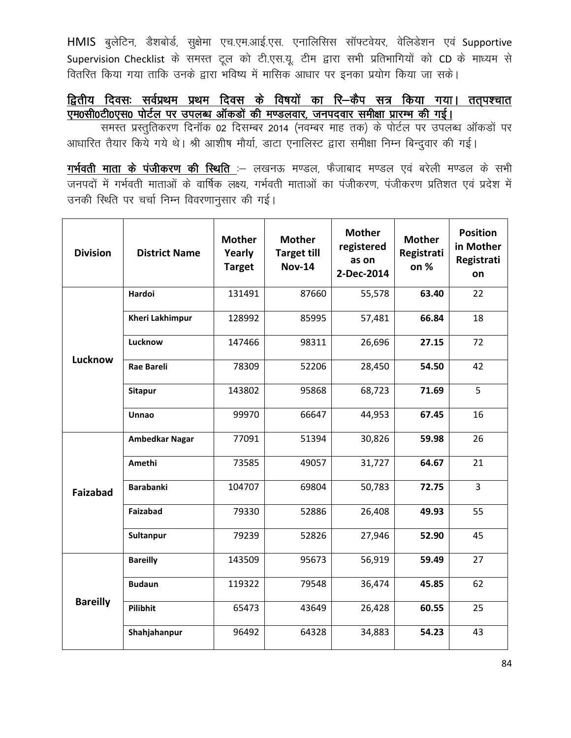HMIS बुलेटिन, डैशबोर्ड, सुक्षेमा एच.एम.आई.एस. एनालिसिस सॉफ्टवेयर, वेलिडेशन एवं Supportive Supervision Checklist के समस्त टूल को टी.एस.यू. टीम द्वारा सभी प्रतिभागियों को CD के माध्यम से वितरित किया गया ताकि उनके द्वारा भविष्य में मासिक आधार पर इनका प्रयोग किया जा सके।

### द्वितीय दिवसः सर्वप्रथम प्रथम दिवस के विषयों का रि—कैप सत्र किया गया। तत्पश्चात एम0सी0टी0एस0 पोर्टल पर उपलब्ध ऑकड़ों की मण्डलवार, जनपदवार समीक्षा प्रारम्भ की गई।

समस्त प्रस्तुतिकरण दिनॉक 02 दिसम्बर 2014 (नवम्बर माह तक) के पोर्टल पर उपलब्ध ऑकड़ों पर आधारित तैयार किये गये थे। श्री आशीष मौर्या, डाटा एनालिस्ट द्वारा समीक्षा निम्न बिन्दुवार की गई।

गर्भवती माता के पंजीकरण की स्थिति :- लखनऊ मण्डल, फैजाबाद मण्डल एवं बरेली मण्डल के सभी जनपदों में गर्भवती माताओं के वार्षिक लक्ष्य, गर्भवती माताओं का पंजीकरण, पंजीकरण प्रतिशत एवं प्रदेश में उनकी स्थिति पर चर्चा निम्न विवरणानुसार की गई।

| <b>Division</b> | <b>District Name</b>   | <b>Mother</b><br>Yearly<br><b>Target</b> | <b>Mother</b><br><b>Target till</b><br><b>Nov-14</b> | <b>Mother</b><br>registered<br>as on<br>2-Dec-2014 | <b>Mother</b><br>Registrati<br>on % | <b>Position</b><br>in Mother<br>Registrati<br>on |
|-----------------|------------------------|------------------------------------------|------------------------------------------------------|----------------------------------------------------|-------------------------------------|--------------------------------------------------|
|                 | Hardoi                 | 131491                                   | 87660                                                | 55,578                                             | 63.40                               | 22                                               |
|                 | <b>Kheri Lakhimpur</b> | 128992                                   | 85995                                                | 57,481                                             | 66.84                               | 18                                               |
|                 | Lucknow                | 147466                                   | 98311                                                | 26,696                                             | 27.15                               | 72                                               |
| Lucknow         | <b>Rae Bareli</b>      | 78309                                    | 52206                                                | 28,450                                             | 54.50                               | 42                                               |
|                 | <b>Sitapur</b>         | 143802                                   | 95868                                                | 68,723                                             | 71.69                               | 5                                                |
|                 | Unnao                  | 99970                                    | 66647                                                | 44,953                                             | 67.45                               | 16                                               |
|                 | <b>Ambedkar Nagar</b>  | 77091                                    | 51394                                                | 30,826                                             | 59.98                               | 26                                               |
|                 | Amethi                 | 73585                                    | 49057                                                | 31,727                                             | 64.67                               | 21                                               |
| <b>Faizabad</b> | <b>Barabanki</b>       | 104707                                   | 69804                                                | 50,783                                             | 72.75                               | $\overline{3}$                                   |
|                 | Faizabad               | 79330                                    | 52886                                                | 26,408                                             | 49.93                               | 55                                               |
|                 | Sultanpur              | 79239                                    | 52826                                                | 27,946                                             | 52.90                               | 45                                               |
|                 | <b>Bareilly</b>        | 143509                                   | 95673                                                | 56,919                                             | 59.49                               | 27                                               |
|                 | <b>Budaun</b>          | 119322                                   | 79548                                                | 36,474                                             | 45.85                               | 62                                               |
| <b>Bareilly</b> | Pilibhit               | 65473                                    | 43649                                                | 26,428                                             | 60.55                               | 25                                               |
|                 | Shahjahanpur           | 96492                                    | 64328                                                | 34,883                                             | 54.23                               | 43                                               |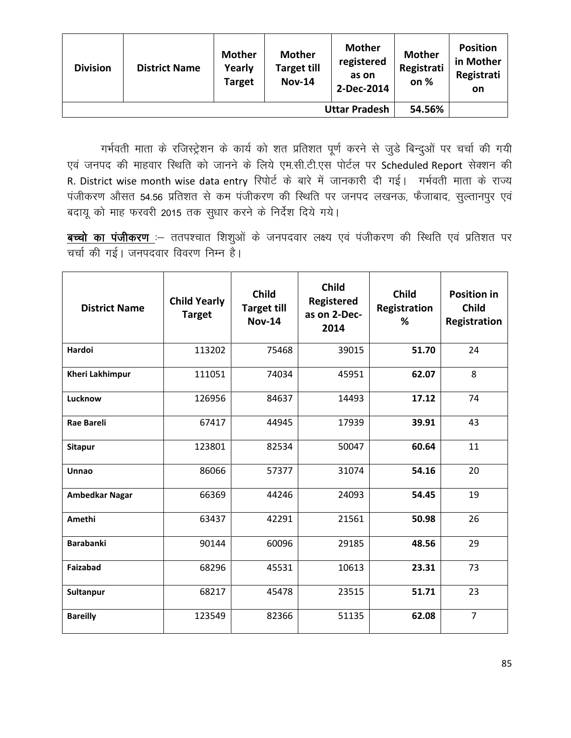| <b>Division</b> | <b>District Name</b> | <b>Mother</b><br>Yearly<br><b>Target</b> | <b>Mother</b><br><b>Target till</b><br><b>Nov-14</b> | <b>Mother</b><br>registered<br>as on<br>2-Dec-2014 | <b>Mother</b><br>Registrati<br>on % | <b>Position</b><br>in Mother<br>Registrati<br><b>on</b> |
|-----------------|----------------------|------------------------------------------|------------------------------------------------------|----------------------------------------------------|-------------------------------------|---------------------------------------------------------|
|                 |                      | 54.56%                                   |                                                      |                                                    |                                     |                                                         |

गर्भवती माता के रजिस्ट्रेशन के कार्य को शत प्रतिशत पूर्ण करने से जुडे बिन्दुओं पर चर्चा की गयी एवं जनपद की माहवार स्थिति को जानने के लिये एम.सी.टी.एस पोर्टल पर Scheduled Report सेक्शन की R. District wise month wise data entry रिपोर्ट के बारे में जानकारी दी गई। गर्भवती माता के राज्य पंजीकरण औसत 54.56 प्रतिशत से कम पंजीकरण की स्थिति पर जनपद लखनऊ, फैजाबाद, सुल्तानपुर एवं बदायू को माह फरवरी 2015 तक सुधार करने के निर्देश दिये गये।

बच्चो का पंजीकरण :- ततपश्चात शिशुओं के जनपदवार लक्ष्य एवं पंजीकरण की स्थिति एवं प्रतिशत पर चर्चा की गई। जनपदवार विवरण निम्न है।

| <b>District Name</b>   | <b>Child Yearly</b><br><b>Target</b> | <b>Child</b><br><b>Target till</b><br><b>Nov-14</b> | <b>Child</b><br><b>Registered</b><br>as on 2-Dec-<br>2014 | <b>Child</b><br><b>Registration</b><br>℅ | <b>Position in</b><br><b>Child</b><br>Registration |
|------------------------|--------------------------------------|-----------------------------------------------------|-----------------------------------------------------------|------------------------------------------|----------------------------------------------------|
| Hardoi                 | 113202                               | 75468                                               | 39015                                                     | 51.70                                    | 24                                                 |
| <b>Kheri Lakhimpur</b> | 111051                               | 74034                                               | 45951                                                     | 62.07                                    | 8                                                  |
| Lucknow                | 126956                               | 84637                                               | 14493                                                     | 17.12                                    | 74                                                 |
| <b>Rae Bareli</b>      | 67417                                | 44945                                               | 17939                                                     | 39.91                                    | 43                                                 |
| <b>Sitapur</b>         | 123801                               | 82534                                               | 50047                                                     | 60.64                                    | 11                                                 |
| Unnao                  | 86066                                | 57377                                               | 31074                                                     | 54.16                                    | 20                                                 |
| <b>Ambedkar Nagar</b>  | 66369                                | 44246                                               | 24093                                                     | 54.45                                    | 19                                                 |
| Amethi                 | 63437                                | 42291                                               | 21561                                                     | 50.98                                    | 26                                                 |
| <b>Barabanki</b>       | 90144                                | 60096                                               | 29185                                                     | 48.56                                    | 29                                                 |
| Faizabad               | 68296                                | 45531                                               | 10613                                                     | 23.31                                    | 73                                                 |
| Sultanpur              | 68217                                | 45478                                               | 23515                                                     | 51.71                                    | 23                                                 |
| <b>Bareilly</b>        | 123549                               | 82366                                               | 51135                                                     | 62.08                                    | $\overline{7}$                                     |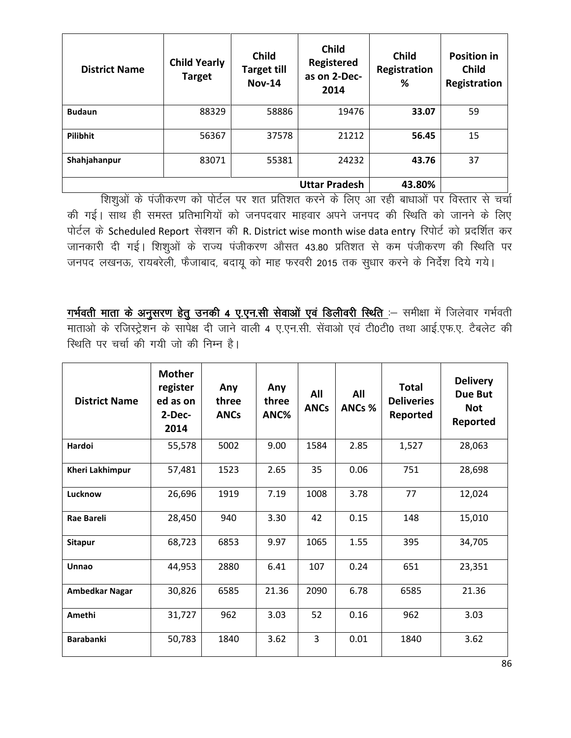| <b>District Name</b> | <b>Child Yearly</b><br><b>Target</b> | <b>Child</b><br><b>Target till</b><br><b>Nov-14</b> | <b>Child</b><br><b>Registered</b><br>as on 2-Dec-<br>2014 | <b>Child</b><br>Registration<br>% | <b>Position in</b><br><b>Child</b><br>Registration |
|----------------------|--------------------------------------|-----------------------------------------------------|-----------------------------------------------------------|-----------------------------------|----------------------------------------------------|
| <b>Budaun</b>        | 88329                                | 58886                                               | 19476                                                     | 33.07                             | 59                                                 |
| Pilibhit             | 56367                                | 37578                                               | 21212                                                     | 56.45                             | 15                                                 |
| Shahjahanpur         | 83071                                | 55381                                               | 24232                                                     | 43.76                             | 37                                                 |
|                      | 43.80%                               |                                                     |                                                           |                                   |                                                    |

शिशुओं के पंजीकरण को पोर्टल पर शत प्रतिशत करने के लिए आ रही बाधाओं पर विस्तार से चर्चा की गई। साथ ही समस्त प्रतिभागियों को जनपदवार माहवार अपने जनपद की स्थिति को जानने के लिए पोर्टल के Scheduled Report सेक्शन की R. District wise month wise data entry रिपोर्ट को प्रदर्शित कर जानकारी दी गई। शिशुओं के राज्य पंजीकरण औसत 43.80 प्रतिशत से कम पंजीकरण की स्थिति पर जनपद लखनऊ, रायबरेली, फैजाबाद, बदायू को माह फरवरी 2015 तक सुधार करने के निर्देश दिये गये।

गर्भवती माता के अनुसरण हेतु उनकी 4 ए.एन.सी सेवाओं एवं डिलीवरी स्थिति :- समीक्षा में जिलेवार गर्भवती माताओं के रजिस्ट्रेशन के सापेक्ष दी जाने वाली 4 ए.एन.सी. सेंवाओं एवं टी0टी0 तथा आई.एफ.ए. टैबलेट की स्थिति पर चर्चा की गयी जो की निम्न है।

| <b>District Name</b>   | <b>Mother</b><br>register<br>ed as on<br>2-Dec-<br>2014 | Any<br>three<br><b>ANCs</b> | Any<br>three<br>ANC% | All<br><b>ANCs</b> | All<br>ANCs % | Total<br><b>Deliveries</b><br>Reported | <b>Delivery</b><br>Due But<br><b>Not</b><br>Reported |
|------------------------|---------------------------------------------------------|-----------------------------|----------------------|--------------------|---------------|----------------------------------------|------------------------------------------------------|
| Hardoi                 | 55,578                                                  | 5002                        | 9.00                 | 1584               | 2.85          | 1,527                                  | 28,063                                               |
| <b>Kheri Lakhimpur</b> | 57,481                                                  | 1523                        | 2.65                 | 35                 | 0.06          | 751                                    | 28,698                                               |
| Lucknow                | 26,696                                                  | 1919                        | 7.19                 | 1008               | 3.78          | 77                                     | 12,024                                               |
| <b>Rae Bareli</b>      | 28,450                                                  | 940                         | 3.30                 | 42                 | 0.15          | 148                                    | 15,010                                               |
| <b>Sitapur</b>         | 68,723                                                  | 6853                        | 9.97                 | 1065               | 1.55          | 395                                    | 34,705                                               |
| <b>Unnao</b>           | 44,953                                                  | 2880                        | 6.41                 | 107                | 0.24          | 651                                    | 23,351                                               |
| <b>Ambedkar Nagar</b>  | 30,826                                                  | 6585                        | 21.36                | 2090               | 6.78          | 6585                                   | 21.36                                                |
| Amethi                 | 31,727                                                  | 962                         | 3.03                 | 52                 | 0.16          | 962                                    | 3.03                                                 |
| <b>Barabanki</b>       | 50,783                                                  | 1840                        | 3.62                 | 3                  | 0.01          | 1840                                   | 3.62                                                 |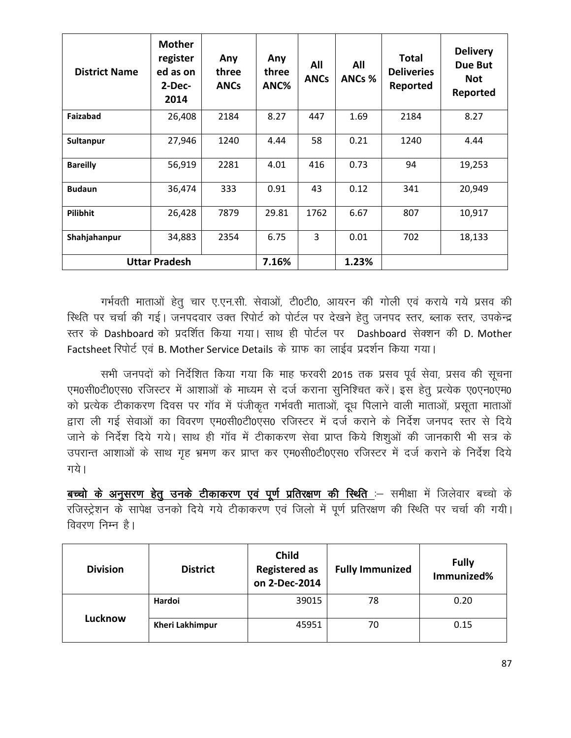| <b>District Name</b> | <b>Mother</b><br>register<br>ed as on<br>$2-Dec-$<br>2014 | Any<br>three<br><b>ANCs</b> | Any<br>three<br>ANC% | All<br><b>ANCs</b> | All<br>ANCs % | <b>Total</b><br><b>Deliveries</b><br>Reported | <b>Delivery</b><br>Due But<br><b>Not</b><br>Reported |
|----------------------|-----------------------------------------------------------|-----------------------------|----------------------|--------------------|---------------|-----------------------------------------------|------------------------------------------------------|
| Faizabad             | 26,408                                                    | 2184                        | 8.27                 | 447                | 1.69          | 2184                                          | 8.27                                                 |
| Sultanpur            | 27,946                                                    | 1240                        | 4.44                 | 58                 | 0.21          | 1240                                          | 4.44                                                 |
| <b>Bareilly</b>      | 56,919                                                    | 2281                        | 4.01                 | 416                | 0.73          | 94                                            | 19,253                                               |
| <b>Budaun</b>        | 36,474                                                    | 333                         | 0.91                 | 43                 | 0.12          | 341                                           | 20,949                                               |
| Pilibhit             | 26,428                                                    | 7879                        | 29.81                | 1762               | 6.67          | 807                                           | 10,917                                               |
| Shahjahanpur         | 34,883                                                    | 2354                        | 6.75                 | 3                  | 0.01          | 702                                           | 18,133                                               |
| <b>Uttar Pradesh</b> |                                                           |                             | 7.16%                |                    | 1.23%         |                                               |                                                      |

गर्भवती माताओं हेतू चार ए.एन.सी. सेवाओं, टी0टी0, आयरन की गोली एवं कराये गये प्रसव की स्थिति पर चर्चा की गई। जनपदवार उक्त रिपोर्ट को पोर्टल पर देखने हेतु जनपद स्तर, ब्लाक स्तर, उपकेन्द्र रतर के Dashboard को प्रदर्शित किया गया। साथ ही पोर्टल पर Dashboard सेक्शन की D. Mother Factsheet रिपोर्ट एवं B. Mother Service Details के ग्राफ का लाईव प्रदर्शन किया गया।

सभी जनपदों को निर्देशित किया गया कि माह फरवरी 2015 तक प्रसव पूर्व सेवा, प्रसव की सूचना एम0सी0टी0एस0 रजिस्टर में आशाओं के माध्यम से दर्ज कराना सुनिश्चित करें। इस हेतु प्रत्येक ए0एन0एम0 को प्रत्येक टीकाकरण दिवस पर गॉव में पंजीकृत गर्भवती माताओं, दध पिलाने वाली माताओं, प्रसता माताओं द्वारा ली गई सेवाओं का विवरण एम0सी0टी0एस0 रजिस्टर में दर्ज कराने के निर्देश जनपद स्तर से दिये जाने के निर्देश दिये गये। साथ ही गॉव में टीकाकरण सेवा प्राप्त किये शिशुओं की जानकारी भी सत्र के उपरान्त आशाओं के साथ गृह भ्रमण कर प्राप्त कर एम0सी0टी0एस0 रजिस्टर में दर्ज कराने के निर्देश दिये गये।

बच्चो के अनुसरण हेतु उनके टीकाकरण एवं पूर्ण प्रतिरक्षण की स्थिति :- समीक्षा में जिलेवार बच्चो के रजिस्ट्रेशन के सापेक्ष उनको दिये गये टीकाकरण एवं जिलो में पूर्ण प्रतिरक्षण की स्थिति पर चर्चा की गयी।  $\theta$ विवरण निम्न है।

| <b>Division</b> | <b>District</b>        | <b>Child</b><br><b>Registered as</b><br>on 2-Dec-2014 | <b>Fully Immunized</b> | <b>Fully</b><br>Immunized% |
|-----------------|------------------------|-------------------------------------------------------|------------------------|----------------------------|
|                 | Hardoi                 | 39015                                                 | 78                     | 0.20                       |
| Lucknow         | <b>Kheri Lakhimpur</b> | 45951                                                 | 70                     | 0.15                       |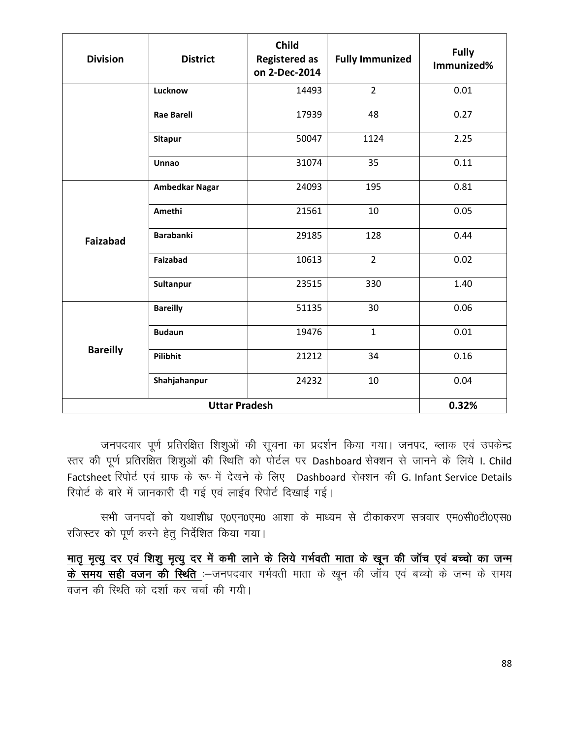| <b>Division</b> | <b>District</b>       | <b>Child</b><br><b>Registered as</b><br>on 2-Dec-2014 | <b>Fully Immunized</b> | <b>Fully</b><br>Immunized% |
|-----------------|-----------------------|-------------------------------------------------------|------------------------|----------------------------|
|                 | Lucknow               | 14493                                                 | $\overline{2}$         | 0.01                       |
|                 | <b>Rae Bareli</b>     | 17939                                                 | 48                     | 0.27                       |
|                 | <b>Sitapur</b>        | 50047                                                 | 1124                   | 2.25                       |
|                 | Unnao                 | 31074                                                 | 35                     | 0.11                       |
|                 | <b>Ambedkar Nagar</b> | 24093                                                 | 195                    | 0.81                       |
|                 | Amethi                | 21561                                                 | 10                     | 0.05                       |
| <b>Faizabad</b> | <b>Barabanki</b>      | 29185                                                 | 128                    | 0.44                       |
|                 | Faizabad              | 10613                                                 | $\overline{2}$         | 0.02                       |
|                 | Sultanpur             | 23515                                                 | 330                    | 1.40                       |
|                 | <b>Bareilly</b>       | 51135                                                 | 30                     | 0.06                       |
|                 | <b>Budaun</b>         | 19476                                                 | $\mathbf{1}$           | 0.01                       |
| <b>Bareilly</b> | Pilibhit              | 21212                                                 | 34                     | 0.16                       |
|                 | Shahjahanpur          | 24232                                                 | 10                     | 0.04                       |
|                 | 0.32%                 |                                                       |                        |                            |

जनपदवार पूर्ण प्रतिरक्षित शिशुओं की सूचना का प्रदर्शन किया गया। जनपद, ब्लाक एवं उपकेन्द्र स्तर की पूर्ण प्रतिरक्षित शिशुओं की स्थिति को पोर्टल पर Dashboard सेक्शन से जानने के लिये I. Child Factsheet रिपोर्ट एवं ग्राफ के रूप् में देखने के लिए Dashboard सेक्शन की G. Infant Service Details रिपोर्ट के बारे में जानकारी दी गई एवं लाईव रिपोर्ट दिखाई गई।

सभी जनपदों को यथाशीध्र ए0एन0एम0 आशा के माध्यम से टीकाकरण सत्रवार एम0सी0टी0एस0 रजिस्टर को पूर्ण करने हेतु निर्देशित किया गया।

मातृ मृत्यु दर एवं शिशु मृत्यु दर में कमी लाने के लिये गर्भवती माता के खून की जॉच एवं बच्चो का जन्म <u>के समय सही वजन की स्थिति</u> :-जनपदवार गर्भवती माता के खून की जॉंच एवं बच्चो के जन्म के समय वजन की स्थिति को दर्शा कर चर्चा की गयी।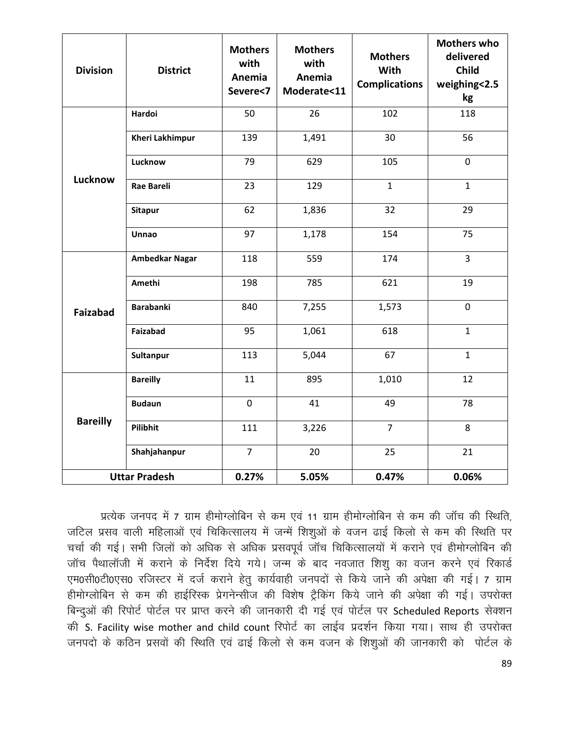| <b>Division</b>      | <b>District</b>        | <b>Mothers</b><br>with<br>Anemia<br>Severe<7 | <b>Mothers</b><br>with<br>Anemia<br>Moderate<11 | <b>Mothers</b><br>With<br><b>Complications</b> | <b>Mothers who</b><br>delivered<br><b>Child</b><br>weighing<2.5<br>kg |
|----------------------|------------------------|----------------------------------------------|-------------------------------------------------|------------------------------------------------|-----------------------------------------------------------------------|
| Lucknow              | Hardoi                 | 50                                           | 26                                              | 102                                            | 118                                                                   |
|                      | <b>Kheri Lakhimpur</b> | 139                                          | 1,491                                           | 30                                             | 56                                                                    |
|                      | Lucknow                | 79                                           | 629                                             | 105                                            | $\mathbf 0$                                                           |
|                      | <b>Rae Bareli</b>      | 23                                           | 129                                             | $\mathbf{1}$                                   | $\mathbf{1}$                                                          |
|                      | <b>Sitapur</b>         | 62                                           | 1,836                                           | 32                                             | 29                                                                    |
|                      | <b>Unnao</b>           | 97                                           | 1,178                                           | 154                                            | 75                                                                    |
| <b>Faizabad</b>      | <b>Ambedkar Nagar</b>  | 118                                          | 559                                             | 174                                            | $\overline{3}$                                                        |
|                      | Amethi                 | 198                                          | 785                                             | 621                                            | 19                                                                    |
|                      | <b>Barabanki</b>       | 840                                          | 7,255                                           | 1,573                                          | $\mathbf 0$                                                           |
|                      | <b>Faizabad</b>        | 95                                           | 1,061                                           | 618                                            | $\mathbf{1}$                                                          |
|                      | Sultanpur              | 113                                          | 5,044                                           | 67                                             | $\mathbf{1}$                                                          |
| <b>Bareilly</b>      | <b>Bareilly</b>        | 11                                           | 895                                             | 1,010                                          | 12                                                                    |
|                      | <b>Budaun</b>          | $\mathbf 0$                                  | 41                                              | 49                                             | 78                                                                    |
|                      | Pilibhit               | 111                                          | 3,226                                           | $\overline{7}$                                 | 8                                                                     |
|                      | Shahjahanpur           | $\overline{7}$                               | 20                                              | 25                                             | 21                                                                    |
| <b>Uttar Pradesh</b> |                        | 0.27%                                        | 5.05%                                           | 0.47%                                          | 0.06%                                                                 |

प्रत्येक जनपद में 7 ग्राम हीमोग्लोबिन से कम एवं 11 ग्राम हीमोग्लोबिन से कम की जॉच की स्थिति, जटिल प्रसव वाली महिलाओं एवं चिकित्सालय में जन्में शिशूओं के वजन ढाई किलो से कम की स्थिति पर चर्चा की गई। सभी जिलों को अधिक से अधिक प्रसवपूर्व जॉंच चिकित्सालयों में कराने एवं हीमोग्लोबिन की जॉच पैथालॉजी में कराने के निर्देश दिये गये। जन्म के बाद नवजात शिशु का वजन करने एवं रिकार्ड एम0सी0टी0एस0 रजिस्टर में दर्ज कराने हेतू कार्यवाही जनपदों से किये जाने की अपेक्षा की गई। 7 ग्राम हीमोग्लोबिन से कम की हाईरिस्क प्रेगनेन्सीज की विशेष ट्रैकिंग किये जाने की अपेक्षा की गई। उपरोक्त बिन्दुओं की रिपोर्ट पोर्टल पर प्राप्त करने की जानकारी दी गई एवं पोर्टल पर Scheduled Reports सेक्शन की S. Facility wise mother and child count रिपोर्ट का लाईव प्रदर्शन किया गया। साथ ही उपरोक्त जनपदो के कठिन प्रसवों की स्थिति एवं ढाई किलो से कम वजन के शिशुओं की जानकारी को पोर्टल के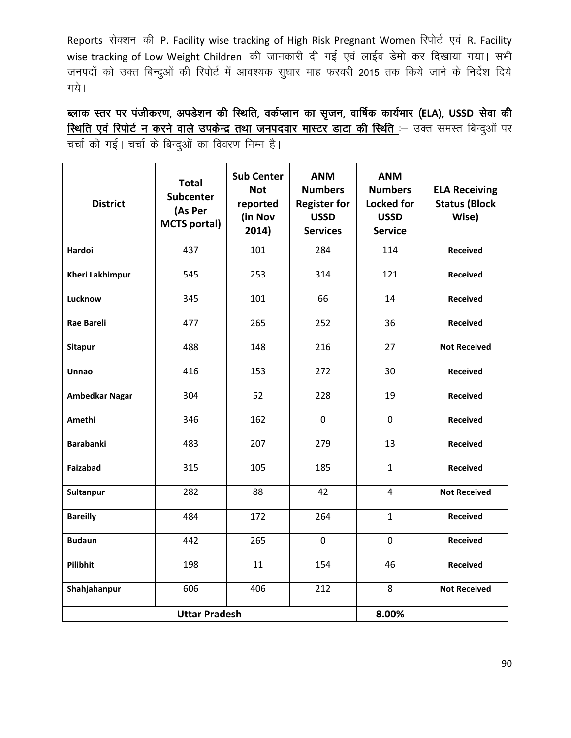Reports सेक्शन की P. Facility wise tracking of High Risk Pregnant Women रिपोर्ट एवं R. Facility wise tracking of Low Weight Children की जानकारी दी गई एवं लाईव डेमो कर दिखाया गया। सभी जनपदों को उक्त बिन्दुओं की रिपोर्ट में आवश्यक सुधार माह फरवरी 2015 तक किये जाने के निर्देश दिये गये।

<u>ब्लाक स्तर पर पंजीकरण, अपडेशन की स्थिति, वर्कप्लान का सृजन, वार्षिक कार्यभार (ELA), USSD सेवा की</u> स्थिति एवं रिपोर्ट न करने वाले उपकेन्द्र तथा जनपदवार मास्टर डाटा की स्थिति :- उक्त समस्त बिन्दुओं पर चर्चा की गई। चर्चा के बिन्दुओं का विवरण निम्न है।

| <b>District</b>        | <b>Total</b><br><b>Subcenter</b><br>(As Per<br><b>MCTS portal)</b> | <b>Sub Center</b><br><b>Not</b><br>reported<br>(in Nov<br>2014) | <b>ANM</b><br><b>Numbers</b><br><b>Register for</b><br><b>USSD</b><br><b>Services</b> | <b>ANM</b><br><b>Numbers</b><br><b>Locked for</b><br><b>USSD</b><br><b>Service</b> | <b>ELA Receiving</b><br><b>Status (Block</b><br>Wise) |
|------------------------|--------------------------------------------------------------------|-----------------------------------------------------------------|---------------------------------------------------------------------------------------|------------------------------------------------------------------------------------|-------------------------------------------------------|
| Hardoi                 | 437                                                                | 101                                                             | 284                                                                                   | 114                                                                                | <b>Received</b>                                       |
| <b>Kheri Lakhimpur</b> | 545                                                                | 253                                                             | 314                                                                                   | 121                                                                                | <b>Received</b>                                       |
| Lucknow                | 345                                                                | 101                                                             | 66                                                                                    | 14                                                                                 | <b>Received</b>                                       |
| <b>Rae Bareli</b>      | 477                                                                | 265                                                             | 252                                                                                   | 36                                                                                 | <b>Received</b>                                       |
| <b>Sitapur</b>         | 488                                                                | 148                                                             | 216                                                                                   | 27                                                                                 | <b>Not Received</b>                                   |
| <b>Unnao</b>           | 416                                                                | 153                                                             | 272                                                                                   | 30                                                                                 | <b>Received</b>                                       |
| <b>Ambedkar Nagar</b>  | 304                                                                | 52                                                              | 228                                                                                   | 19                                                                                 | Received                                              |
| Amethi                 | 346                                                                | 162                                                             | $\mathbf 0$                                                                           | $\mathbf 0$                                                                        | <b>Received</b>                                       |
| <b>Barabanki</b>       | 483                                                                | 207                                                             | 279                                                                                   | 13                                                                                 | <b>Received</b>                                       |
| <b>Faizabad</b>        | 315                                                                | 105                                                             | 185                                                                                   | $\mathbf{1}$                                                                       | <b>Received</b>                                       |
| Sultanpur              | 282                                                                | 88                                                              | 42                                                                                    | $\overline{4}$                                                                     | <b>Not Received</b>                                   |
| <b>Bareilly</b>        | 484                                                                | 172                                                             | 264                                                                                   | $\mathbf{1}$                                                                       | <b>Received</b>                                       |
| <b>Budaun</b>          | 442                                                                | 265                                                             | $\mathbf 0$                                                                           | $\mathbf 0$                                                                        | <b>Received</b>                                       |
| Pilibhit               | 198                                                                | 11                                                              | 154                                                                                   | 46                                                                                 | <b>Received</b>                                       |
| Shahjahanpur           | 606                                                                | 406                                                             | 212                                                                                   | 8                                                                                  | <b>Not Received</b>                                   |
|                        | <b>Uttar Pradesh</b>                                               | 8.00%                                                           |                                                                                       |                                                                                    |                                                       |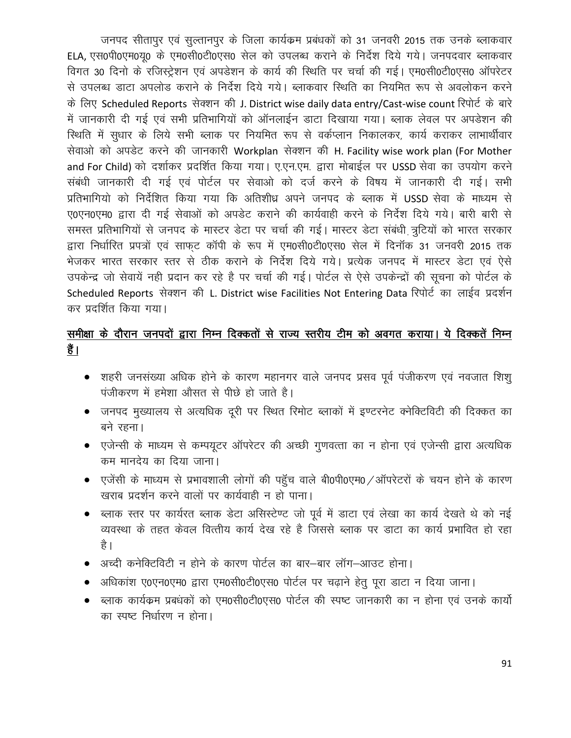जनपद सीतापुर एवं सुल्तानपुर के जिला कार्यक्रम प्रबंधकों को 31 जनवरी 2015 तक उनके ब्लाकवार ELA, एस0पी0एम0यृ0 के एम0सी0टी0एस0 सेल को उपलब्ध कराने के निर्देश दिये गये। जनपदवार ब्लाकवार विगत 30 दिनो के रजिस्ट्रेशन एवं अपडेशन के कार्य की स्थिति पर चर्चा की गई। एम0सी0टी0एस0 ऑपरेटर से उपलब्ध डाटा अपलोड कराने के निर्देश दिये गये। ब्लाकवार स्थिति का नियमित रूप से अवलोकन करने के लिए Scheduled Reports सेक्शन की J. District wise daily data entry/Cast-wise count रिपोर्ट के बारे में जानकारी दी गई एवं सभी प्रतिभागियों को ऑनलाईन डाटा दिखाया गया। ब्लाक लेवल पर अपडेशन की स्थिति में सुधार के लिये सभी ब्लाक पर नियमित रूप से वर्कप्लान निकालकर, कार्य कराकर लाभार्थीवार सेवाओ को अपडेट करने की जानकारी Workplan सेक्शन की H. Facility wise work plan (For Mother and For Child) को दर्शाकर प्रदर्शित किया गया। ए.एन.एम. द्वारा मोबाईल पर USSD सेवा का उपयोग करने संबंधी जानकारी दी गई एवं पोर्टल पर सेवाओ को दर्ज करने के विषय में जानकारी दी गई। सभी प्रतिभागियो को निर्देशित किया गया कि अतिशीध्र अपने जनपद के ब्लाक में USSD सेवा के माध्यम से ए0एन0एम0 द्वारा दी गई सेवाओं को अपडेट कराने की कार्यवाही करने के निर्देश दिये गये। बारी बारी से समस्त प्रतिभागियों से जनपद के मास्टर डेटा पर चर्चा की गई। मास्टर डेटा संबंधी त्रुटियों को भारत सरकार द्वारा निर्धारित प्रपत्रों एवं साफट कॉपी के रूप में एम0सी0टी0एस0 सेल में दिनॉक 31 जनवरी 2015 तक भेजकर भारत सरकार स्तर से ठीक कराने के निर्देश दिये गये। प्रत्येक जनपद में मास्टर डेटा एवं ऐसे उपकेन्द्र जो सेवायें नहीं प्रदान कर रहे है पर चर्चा की गई। पोर्टल से ऐसे उपकेन्द्रों की सूचना को पोर्टल के Scheduled Reports सेक्शन की L. District wise Facilities Not Entering Data रिपोर्ट का लाईव प्रदर्शन कर प्रदर्शित किया गया।

## समीक्षा के दौरान जनपदों द्वारा निम्न दिक्कतों से राज्य स्तरीय टीम को अवगत कराया। ये दिक्कतें निम्न हैं।

- शहरी जनसंख्या अधिक होने के कारण महानगर वाले जनपद प्रसव पूर्व पंजीकरण एवं नवजात शिशु पंजीकरण में हमेशा औसत से पीछे हो जाते है।
- जनपद मुख्यालय से अत्यधिक दूरी पर स्थित रिमोट ब्लाकों में इण्टरनेट क्नेक्टिविटी की दिक्कत का बने रहना।
- एजेन्सी के माध्यम से कम्पयूटर ऑपरेटर की अच्छी गुणवत्ता का न होना एवं एजेन्सी द्वारा अत्यधिक कम मानदेय का दिया जाना।
- एजेंसी के माध्यम से प्रभावशाली लोगों की पहुँच वाले बी0पी0एम0 / ऑपरेटरों के चयन होने के कारण खराब प्रदर्शन करने वालों पर कार्यवाही न हो पाना।
- ब्लाक स्तर पर कार्यरत ब्लाक डेटा असिस्टेण्ट जो पूर्व में डाटा एवं लेखा का कार्य देखते थे को नई व्यवस्था के तहत केवल वित्तीय कार्य देख रहे है जिससे ब्लाक पर डाटा का कार्य प्रभावित हो रहा है ।
- अच्दी कनेक्टिविटी न होने के कारण पोर्टल का बार—बार लॉग—आउट होना।
- अधिकांश ए0एन0एम0 द्वारा एम0सी0टी0एस0 पोर्टल पर चढ़ाने हेतु पूरा डाटा न दिया जाना।
- ब्लाक कार्यक्रम प्रबंधकों को एम0सी0टी0एस0 पोर्टल की स्पष्ट जानकारी का न होना एवं उनके कार्यो का स्पष्ट निर्धारण न होना।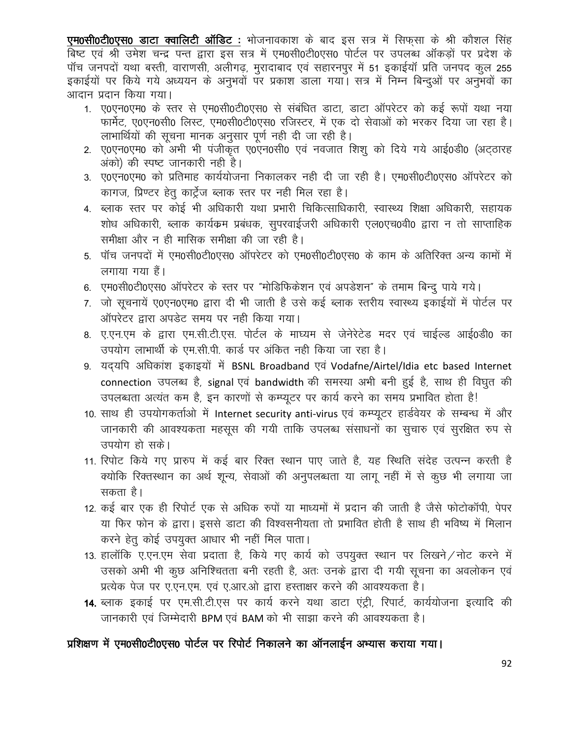एम0सी0टी0एस0 डाटा क्वालिटी ऑडिट : भोजनावकाश के बाद इस सत्र में सिफसा के श्री कौशल सिंह बिष्ट एवं श्री उमेश चन्द्र पन्त द्वारा इस सत्र में एम0सी0टी0एस0 पोर्टल पर उपलब्ध ऑकड़ों पर प्रदेश के पॉच जनपदों यथा बस्ती, वाराणसी, अलीगढ, मुरादाबाद एवं सहारनपुर में 51 इकाईयॉ प्रति जनपद कूल 255 इकाईयों पर किये गये अध्ययन के अनुभवों पर प्रकाश डाला गया। सत्र में निम्न बिन्दुओं पर अनुभवों का आदान प्रदान किया गया।

- 1. ए0एन0एम0 के स्तर से एम0सी0टी0एस0 से संबंधित डाटा, डाटा ऑपरेटर को कई रूपों यथा नया फार्मेट, ए0एन0सी0 लिस्ट, एम0सी0टी0एस0 रजिस्टर, में एक दो सेवाओं को भरकर दिया जा रहा है। लाभार्थियों की सूचना मानक अनुसार पूर्ण नही दी जा रही है।
- 2. ए0एन0एम0 को अभी भी पंजीकृत ए0एन0सी0 एवं नवजात शिशू को दिये गये आई0डी0 (अटठारह अंको) की स्पष्ट जानकारी नही है।
- 3. ए0एन0एम0 को प्रतिमाह कार्ययोजना निकालकर नही दी जा रही है। एम0सी0टी0एस0 ऑपरेटर को कागज, प्रिण्टर हेतु कार्ट्रेज ब्लाक स्तर पर नही मिल रहा है।
- 4. ब्लाक स्तर पर कोई भी अधिकारी यथा प्रभारी चिकित्साधिकारी, स्वास्थ्य शिक्षा अधिकारी, सहायक शोध अधिकारी, ब्लाक कार्यक्रम प्रबंधक, सुपरवाईजरी अधिकारी एल0एच0वी0 द्वारा न तो साप्ताहिक समीक्षा और न ही मासिक समीक्षा की जा रही है।
- 5. पॉच जनपदों में एम0सी0टी0एस0 ऑपरेटर को एम0सी0टी0एस0 के काम के अतिरिक्त अन्य कामों में लगाया गया हैं।
- 6. एम0सी0टी0एस0 ऑपरेटर के स्तर पर "मोडिफिकेशन एवं अपडेशन" के तमाम बिन्दू पाये गये।
- 7. जो सूचनायें ए0एन0एम0 द्वारा दी भी जाती है उसे कई ब्लाक स्तरीय स्वास्थ्य इकाईयों में पोर्टल पर ऑपरेटर द्वारा अपडेट समय पर नही किया गया।
- 8. ए.एन.एम के द्वारा एम.सी.टी.एस. पोर्टल के माघ्यम से जेनेरेटेड मदर एवं चाईल्ड आई0डी0 का उपयोग लाभार्थी के एम.सी.पी. कार्ड पर अंकित नही किया जा रहा है।
- 9. यदयपि अधिकांश इकाइयों में BSNL Broadband एवं Vodafne/Airtel/Idia etc based Internet connection उपलब्ध है, signal एवं bandwidth की समस्या अभी बनी हुई है, साथ ही विघुत की उपलब्धता अत्यंत कम है, इन कारणों से कम्प्यूटर पर कार्य करने का समय प्रभावित होता है!
- 10. साथ ही उपयोगकर्ताओं में Internet security anti-virus एवं कम्प्यूटर हार्डवेयर के सम्बन्ध में और जानकारी की आवश्यकता महसूस की गयी ताकि उपलब्ध संसाधनों का सूचारु एवं सुरक्षित रुप से उपयोग हो सके।
- 11. रिपोट किये गए प्रारुप में कई बार रिक्त स्थान पाए जाते है, यह स्थिति संदेह उत्पन्न करती है क्योकि रिक्तस्थान का अर्थ शून्य, सेवाओं की अनुपलब्धता या लागू नहीं में से कूछ भी लगाया जा सकता है।
- 12. कई बार एक ही रिपोर्ट एक से अधिक रुपों या माध्यमों में प्रदान की जाती है जैसे फोटोकॉपी, पेपर या फिर फोन के द्वारा। इससे डाटा की विश्वसनीयता तो प्रभावित होती है साथ ही भविष्य में मिलान करने हेतू कोई उपयुक्त आधार भी नहीं मिल पाता।
- 13. हालॉकि ए.एन.एम सेवा प्रदाता है, किये गए कार्य को उपयुक्त स्थान पर लिखने / नोट करने में उसको अभी भी कूछ अनिश्चितता बनी रहती है, अतः उनके द्वारा दी गयी सूचना का अवलोकन एवं प्रत्येक पेज पर ए.एन.एम. एवं ए.आर.ओ द्वारा हस्ताक्षर करने की आवश्यकता है।
- 14. ब्लाक इकाई पर एम.सी.टी.एस पर कार्य करने यथा डाटा एंट्री, रिपार्ट, कार्ययोजना इत्यादि की जानकारी एवं जिम्मेदारी BPM एवं BAM को भी साझा करने की आवश्यकता है।

#### प्रशिक्षण में एम0सी0टी0एस0 पोर्टल पर रिपोर्ट निकालने का ऑनलाईन अभ्यास कराया गया।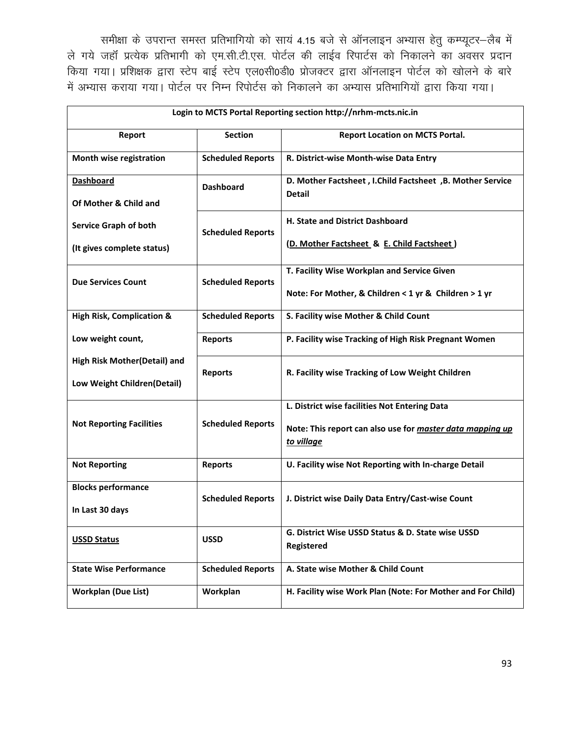समीक्षा के उपरान्त समस्त प्रतिभागियो को सायं 4.15 बजे से ऑनलाइन अभ्यास हेतु कम्प्यूटर-लैब में ले गये जहाँ प्रत्येक प्रतिभागी को एम.सी.टी.एस. पोर्टल की लाईव रिपार्टस को निकालने का अवसर प्रदान किया गया। प्रशिक्षक द्वारा स्टेप बाई स्टेप एल0सी0डी0 प्रोजक्टर द्वारा ऑनलाइन पोर्टल को खोलने के बारे में अभ्यास कराया गया। पोर्टल पर निम्न रिपोर्टस को निकालने का अभ्यास प्रतिभागियों द्वारा किया गया।

| Login to MCTS Portal Reporting section http://nrhm-mcts.nic.in |                          |                                                                            |  |  |  |
|----------------------------------------------------------------|--------------------------|----------------------------------------------------------------------------|--|--|--|
| Report                                                         | <b>Section</b>           | <b>Report Location on MCTS Portal.</b>                                     |  |  |  |
| Month wise registration                                        | <b>Scheduled Reports</b> | R. District-wise Month-wise Data Entry                                     |  |  |  |
| <b>Dashboard</b>                                               | <b>Dashboard</b>         | D. Mother Factsheet, I.Child Factsheet, B. Mother Service<br><b>Detail</b> |  |  |  |
| Of Mother & Child and                                          |                          |                                                                            |  |  |  |
| <b>Service Graph of both</b>                                   | <b>Scheduled Reports</b> | H. State and District Dashboard                                            |  |  |  |
| (It gives complete status)                                     |                          | (D. Mother Factsheet & E. Child Factsheet)                                 |  |  |  |
| <b>Due Services Count</b>                                      | <b>Scheduled Reports</b> | T. Facility Wise Workplan and Service Given                                |  |  |  |
|                                                                |                          | Note: For Mother, & Children < 1 yr & Children > 1 yr                      |  |  |  |
| <b>High Risk, Complication &amp;</b>                           | <b>Scheduled Reports</b> | S. Facility wise Mother & Child Count                                      |  |  |  |
| Low weight count,                                              | <b>Reports</b>           | P. Facility wise Tracking of High Risk Pregnant Women                      |  |  |  |
| High Risk Mother(Detail) and                                   | <b>Reports</b>           | R. Facility wise Tracking of Low Weight Children                           |  |  |  |
| Low Weight Children(Detail)                                    |                          |                                                                            |  |  |  |
|                                                                |                          | L. District wise facilities Not Entering Data                              |  |  |  |
| <b>Not Reporting Facilities</b>                                | <b>Scheduled Reports</b> | Note: This report can also use for master data mapping up<br>to village    |  |  |  |
| <b>Not Reporting</b>                                           | <b>Reports</b>           | U. Facility wise Not Reporting with In-charge Detail                       |  |  |  |
| <b>Blocks performance</b>                                      | <b>Scheduled Reports</b> | J. District wise Daily Data Entry/Cast-wise Count                          |  |  |  |
| In Last 30 days                                                |                          |                                                                            |  |  |  |
| <b>USSD Status</b>                                             | <b>USSD</b>              | G. District Wise USSD Status & D. State wise USSD<br><b>Registered</b>     |  |  |  |
| <b>State Wise Performance</b>                                  | <b>Scheduled Reports</b> | A. State wise Mother & Child Count                                         |  |  |  |
| <b>Workplan (Due List)</b>                                     | Workplan                 | H. Facility wise Work Plan (Note: For Mother and For Child)                |  |  |  |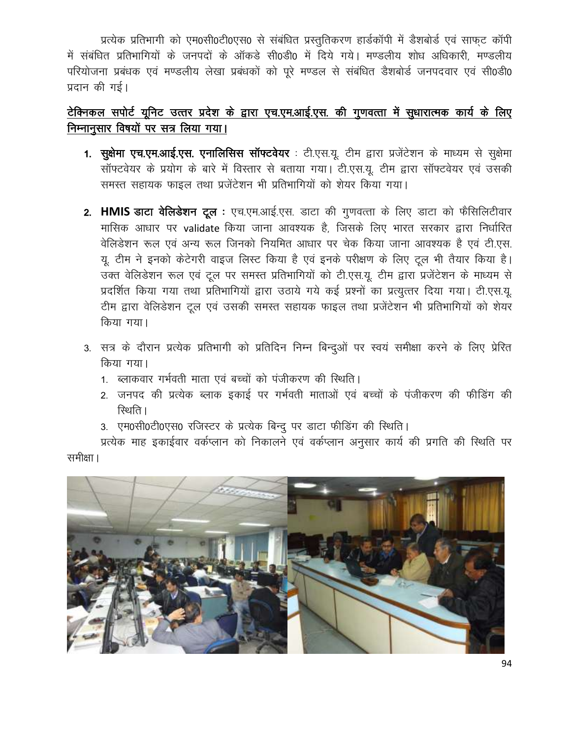प्रत्येक प्रतिभागी को एम0सी0टी0एस0 से संबंधित प्रस्तुतिकरण हार्डकॉपी में डैशबोर्ड एवं साफुट कॉपी में संबंधित प्रतिभागियों के जनपदों के ऑकडे सी0डी0 में दिये गये। मण्डलीय शोध अधिकारी. मण्डलीय परियोजना प्रबंधक एवं मण्डलीय लेखा प्रबंधकों को पूरे मण्डल से संबंधित डैशबोर्ड जनपदवार एवं सी0डी0 प्रदान की गई।

## टेक्निकल सपोर्ट यूनिट उत्तर प्रदेश के द्वारा एच.एम.आई.एस. की गुणवत्ता में सूधारात्मक कार्य के लिए निम्नानुसार विषयों पर सत्र लिया गया।

- 1. सुक्षेमा एच.एम.आई.एस. एनालिसिस सॉफ्टवेयर : टी.एस.यू. टीम द्वारा प्रजेंटेशन के माध्यम से सुक्षेमा सॉफ्टवेयर के प्रयोग के बारे में विस्तार से बताया गया। टी.एस.यू. टीम द्वारा सॉफ्टवेयर एवं उसकी समस्त सहायक फाइल तथा प्रजेंटेशन भी प्रतिभागियों को शेयर किया गया।
- 2. HMIS डाटा वेलिडेशन टूल : एच.एम.आई.एस. डाटा की गुणवत्ता के लिए डाटा को फैसिलिटीवार मासिक आधार पर validate किया जाना आवश्यक है, जिसके लिए भारत सरकार द्वारा निर्धारित वेलिडेशन रूल एवं अन्य रूल जिनको नियमित आधार पर चेक किया जाना आवश्यक है एवं टी.एस. यू. टीम ने इनको केटेगरी वाइज लिस्ट किया है एवं इनके परीक्षण के लिए टूल भी तैयार किया है। उक्त वेलिडेशन रूल एवं टूल पर समस्त प्रतिभागियों को टी.एस.यू. टीम द्वारा प्रजेंटेशन के माध्यम से प्रदर्शित किया गया तथा प्रतिभागियों द्वारा उठाये गये कई प्रश्नों का प्रत्युत्तर दिया गया। टी.एस.यू. टीम द्वारा वेलिडेशन टूल एवं उसकी समस्त सहायक फाइल तथा प्रजेंटेशन भी प्रतिभागियों को शेयर किया गया।
- 3. सत्र के दौरान प्रत्येक प्रतिभागी को प्रतिदिन निम्न बिन्दुओं पर स्वयं समीक्षा करने के लिए प्रेरित किया गया।
	- 1. ब्लाकवार गर्भवती माता एवं बच्चों को पंजीकरण की स्थिति।
	- 2. जनपद की प्रत्येक ब्लाक इकाई पर गर्भवती माताओं एवं बच्चों के पंजीकरण की फीडिंग की रिथति ।
	- 3. एम0सी0टी0एस0 रजिस्टर के प्रत्येक बिन्दु पर डाटा फीडिंग की स्थिति।

प्रत्येक माह इकाईवार वर्कप्लान को निकालने एवं वर्कप्लान अनुसार कार्य की प्रगति की स्थिति पर समीक्षा ।